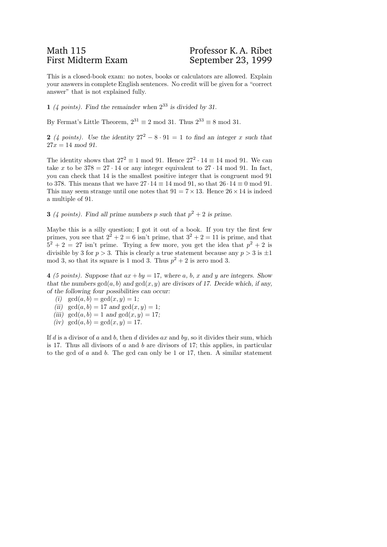## Math 115<br>
First Midterm Exam<br>
First Midterm Exam<br>
Professor K. A. Ribet

This is a closed-book exam: no notes, books or calculators are allowed. Explain your answers in complete English sentences. No credit will be given for a "correct answer" that is not explained fully.

1 (4 points). Find the remainder when  $2^{33}$  is divided by 31.

By Fermat's Little Theorem,  $2^{31} \equiv 2 \mod 31$ . Thus  $2^{33} \equiv 8 \mod 31$ .

2 (4 points). Use the identity  $27^2 - 8 \cdot 91 = 1$  to find an integer x such that  $27x = 14 \mod 91$ .

The identity shows that  $27^2 \equiv 1 \mod 91$ . Hence  $27^2 \cdot 14 \equiv 14 \mod 91$ . We can take x to be  $378 = 27 \cdot 14$  or any integer equivalent to  $27 \cdot 14$  mod 91. In fact, you can check that 14 is the smallest positive integer that is congruent mod 91 to 378. This means that we have  $27 \cdot 14 \equiv 14 \mod 91$ , so that  $26 \cdot 14 \equiv 0 \mod 91$ . This may seem strange until one notes that  $91 = 7 \times 13$ . Hence  $26 \times 14$  is indeed a multiple of 91.

**3** (4 points). Find all prime numbers p such that  $p^2 + 2$  is prime.

Maybe this is a silly question; I got it out of a book. If you try the first few primes, you see that  $2^2 + 2 = 6$  isn't prime, that  $3^2 + 2 = 11$  is prime, and that  $5^2 + 2 = 27$  isn't prime. Trying a few more, you get the idea that  $p^2 + 2$  is divisible by 3 for  $p > 3$ . This is clearly a true statement because any  $p > 3$  is  $\pm 1$ mod 3, so that its square is 1 mod 3. Thus  $p^2 + 2$  is zero mod 3.

4 (5 points). Suppose that  $ax + by = 17$ , where a, b, x and y are integers. Show that the numbers  $gcd(a, b)$  and  $gcd(x, y)$  are divisors of 17. Decide which, if any, of the following four possibilities can occur:

- (i)  $\gcd(a, b) = \gcd(x, y) = 1;$
- (ii)  $\gcd(a, b) = 17$  and  $\gcd(x, y) = 1$ ;
- (iii)  $gcd(a, b) = 1$  and  $gcd(x, y) = 17$ ;
- (iv)  $gcd(a, b) = gcd(x, y) = 17$ .

If d is a divisor of a and b, then d divides ax and by, so it divides their sum, which is 17. Thus all divisors of a and b are divisors of 17; this applies, in particular to the gcd of a and b. The gcd can only be 1 or 17, then. A similar statement